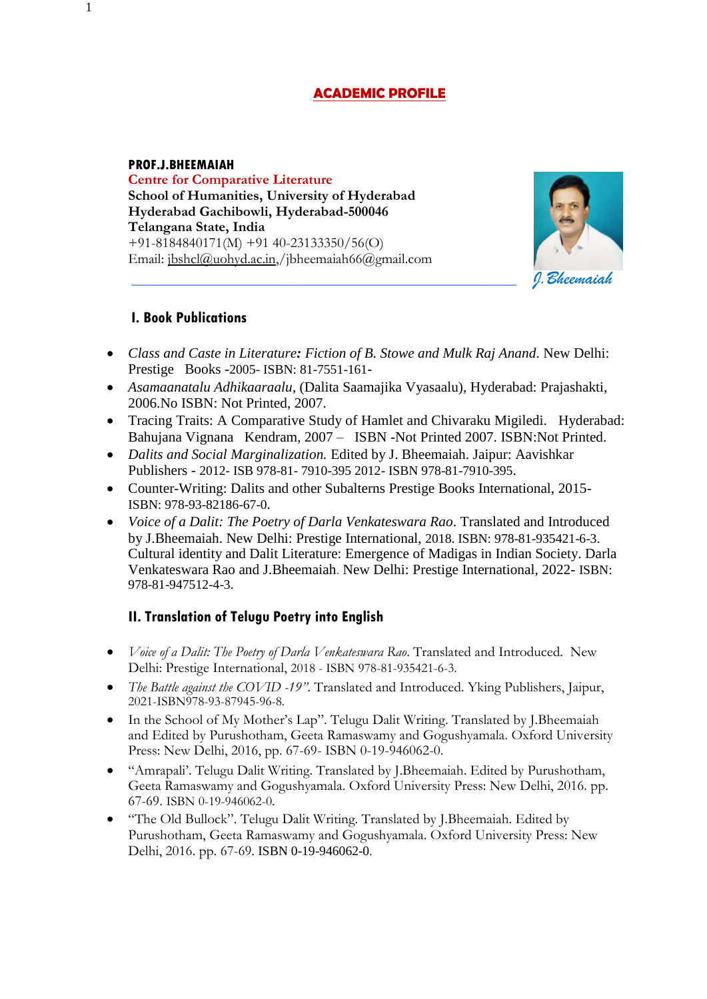# **ACADEMIC PROFILE**

#### **PROF.J.BHEEMAIAH**

**Centre for Comparative Literature School of Humanities, University of Hyderabad Hyderabad Gachibowli, Hyderabad-500046 Telangana State, India** +91-8184840171(M) +91 40-23133350/56(O) Email: [jbshcl@uohyd.ac.in,/](mailto:jbshcl@uohyd.ac.in)jbheemaiah66@gmail.com



#### **I. Book Publications**

- *Class and Caste in Literature: Fiction of B. Stowe and Mulk Raj Anand*. New Delhi: Prestige Books -2005- ISBN: 81-7551-161-
- *Asamaanatalu Adhikaaraalu*, (Dalita Saamajika Vyasaalu), Hyderabad: Prajashakti, 2006.No ISBN: Not Printed, 2007.
- Tracing Traits: A Comparative Study of Hamlet and Chivaraku Migiledi. Hyderabad: Bahujana Vignana Kendram, 2007 – ISBN -Not Printed 2007. ISBN:Not Printed.
- *Dalits and Social Marginalization.* Edited by J. Bheemaiah. Jaipur: Aavishkar Publishers - 2012- ISB 978-81- 7910-395 2012- ISBN 978-81-7910-395.
- Counter-Writing: Dalits and other Subalterns Prestige Books International, 2015- ISBN: 978-93-82186-67-0.
- *Voice of a Dalit: The Poetry of Darla Venkateswara Rao*. Translated and Introduced by J.Bheemaiah. New Delhi: Prestige International, 2018. ISBN: 978-81-935421-6-3. Cultural identity and Dalit Literature: Emergence of Madigas in Indian Society. Darla Venkateswara Rao and J.Bheemaiah. New Delhi: Prestige International, 2022- ISBN: 978-81-947512-4-3.

## **II. Translation of Telugu Poetry into English**

- *Voice of a Dalit: The Poetry of Darla Venkateswara Rao*. Translated and Introduced. New Delhi: Prestige International, 2018 - ISBN 978-81-935421-6-3.
- *The Battle against the COVID -19"*. Translated and Introduced. Yking Publishers, Jaipur, 2021-ISBN978-93-87945-96-8.
- In the School of My Mother's Lap". Telugu Dalit Writing. Translated by J.Bheemaiah and Edited by Purushotham, Geeta Ramaswamy and Gogushyamala. Oxford University Press: New Delhi, 2016, pp. 67-69- ISBN 0-19-946062-0.
- "Amrapali'. Telugu Dalit Writing. Translated by J.Bheemaiah. Edited by Purushotham, Geeta Ramaswamy and Gogushyamala. Oxford University Press: New Delhi, 2016. pp. 67-69. ISBN 0-19-946062-0.
- "The Old Bullock". Telugu Dalit Writing. Translated by J.Bheemaiah. Edited by Purushotham, Geeta Ramaswamy and Gogushyamala. Oxford University Press: New Delhi, 2016. pp. 67-69. ISBN 0-19-946062-0.